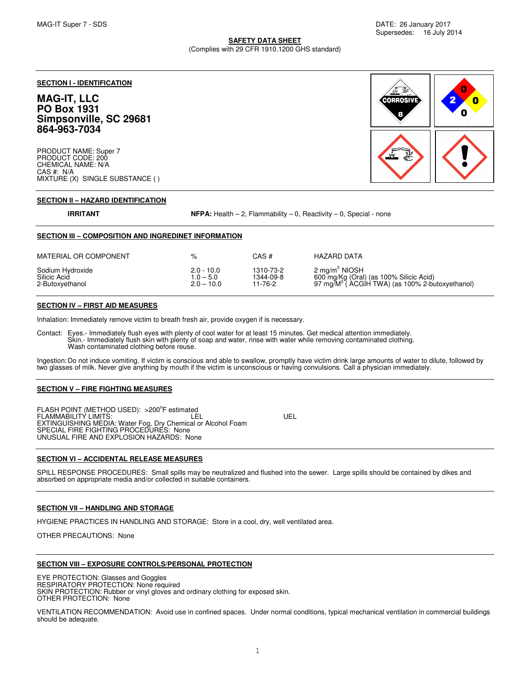**SAFETY DATA SHEET** (Complies with 29 CFR 1910.1200 GHS standard)

### **SECTION I - IDENTIFICATION**

# **MAG-IT, LLC PO Box 1931 Simpsonville, SC 29681 864-963-7034**

PRODUCT NAME: Super 7 PRODUCT CODE: 200 CHEMICAL NAME: N/A CAS #: N/A MIXTURE (X) SINGLE SUBSTANCE ( ) **CORROSIVE** E

#### **SECTION II – HAZARD IDENTIFICATION**

**IRRITANT** NFPA: Health – 2, Flammability – 0, Reactivity – 0, Special - none

| SECTION III - COMPOSITION AND INGREDINET INFORMATION |                                             |                                   |                                                                                                                                   |
|------------------------------------------------------|---------------------------------------------|-----------------------------------|-----------------------------------------------------------------------------------------------------------------------------------|
| MATERIAL OR COMPONENT                                | %                                           | CAS#                              | <b>HAZARD DATA</b>                                                                                                                |
| Sodium Hydroxide<br>Silicic Acid<br>2-Butoxyethanol  | $2.0 - 10.0$<br>$1.0 - 5.0$<br>$2.0 - 10.0$ | 1310-73-2<br>1344-09-8<br>11-76-2 | $2 \text{ mg/m}^3$ NIOSH<br>600 mg/Kg (Oral) (as 100% Silicic Acid)<br>97 mg/M <sup>3</sup> (ACGIH TWA) (as 100% 2-butoxyethanol) |

### **SECTION IV – FIRST AID MEASURES**

Inhalation: Immediately remove victim to breath fresh air, provide oxygen if is necessary.

Contact: Eyes.- Immediately flush eyes with plenty of cool water for at least 15 minutes. Get medical attention immediately. Skin.- Immediately flush skin with plenty of soap and water, rinse with water while removing contaminated clothing. Wash contaminated clothing before reuse.

Ingestion: Do not induce vomiting. If victim is conscious and able to swallow, promptly have victim drink large amounts of water to dilute, followed by two glasses of milk. Never give anything by mouth if the victim is unconscious or having convulsions. Call a physician immediately.

#### **SECTION V – FIRE FIGHTING MEASURES**

FLASH POINT (METHOD USED): > 200°F estimated FLAMMABILITY LIMITS: LEL UEL EXTINGUISHING MEDIA: Water Fog, Dry Chemical or Alcohol Foam SPECIAL FIRE FIGHTING PROCEDURES: None UNUSUAL FIRE AND EXPLOSION HAZARDS: None

**SECTION VI – ACCIDENTAL RELEASE MEASURES**

SPILL RESPONSE PROCEDURES: Small spills may be neutralized and flushed into the sewer. Large spills should be contained by dikes and absorbed on appropriate media and/or collected in suitable containers.

#### **SECTION VII – HANDLING AND STORAGE**

HYGIENE PRACTICES IN HANDLING AND STORAGE: Store in a cool, dry, well ventilated area.

OTHER PRECAUTIONS: None

#### **SECTION VIII – EXPOSURE CONTROLS/PERSONAL PROTECTION**

EYE PROTECTION: Glasses and Goggles

RESPIRATORY PROTECTION: None required

SKIN PROTECTION: Rubber or vinyl gloves and ordinary clothing for exposed skin. OTHER PROTECTION: None

VENTILATION RECOMMENDATION: Avoid use in confined spaces. Under normal conditions, typical mechanical ventilation in commercial buildings should be adequate.